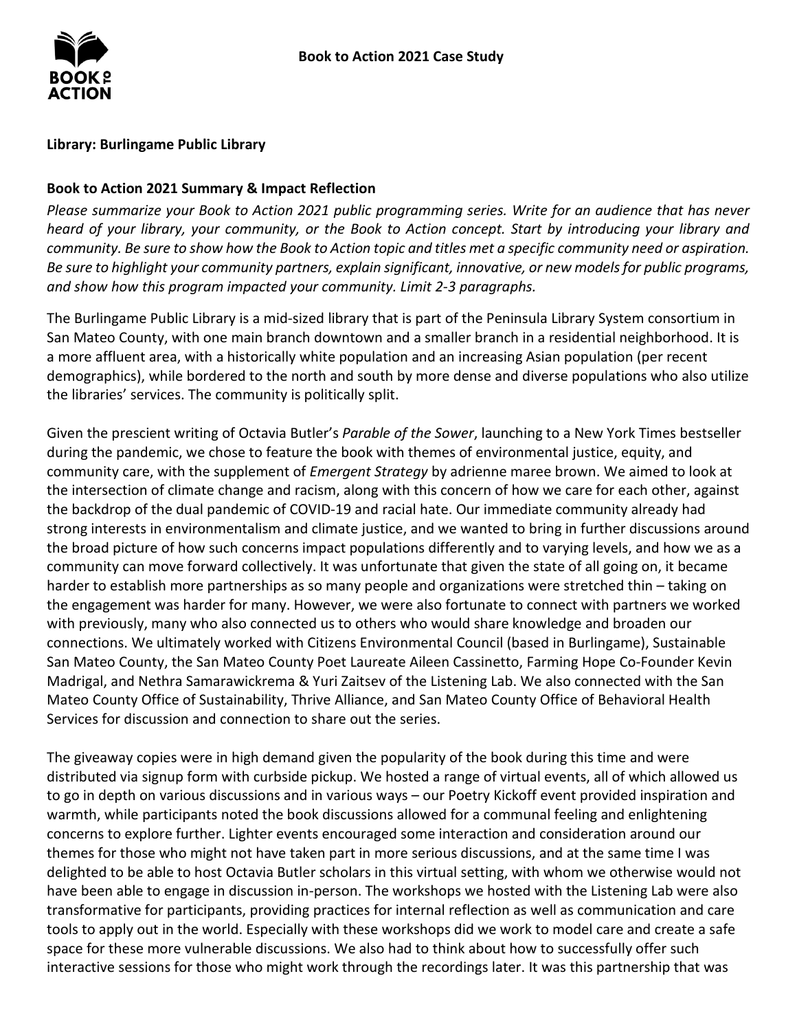

#### **Library: Burlingame Public Library**

### **Book to Action 2021 Summary & Impact Reflection**

*Please summarize your Book to Action 2021 public programming series. Write for an audience that has never heard of your library, your community, or the Book to Action concept. Start by introducing your library and community. Be sure to show how the Book to Action topic and titles met a specific community need or aspiration. Be sure to highlight your community partners, explain significant, innovative, or new models for public programs, and show how this program impacted your community. Limit 2-3 paragraphs.* 

 demographics), while bordered to the north and south by more dense and diverse populations who also utilize The Burlingame Public Library is a mid-sized library that is part of the Peninsula Library System consortium in San Mateo County, with one main branch downtown and a smaller branch in a residential neighborhood. It is a more affluent area, with a historically white population and an increasing Asian population (per recent the libraries' services. The community is politically split.

 Given the prescient writing of Octavia Butler's *Parable of the Sower*, launching to a New York Times bestseller during the pandemic, we chose to feature the book with themes of environmental justice, equity, and community care, with the supplement of *Emergent Strategy* by adrienne maree brown. We aimed to look at the intersection of climate change and racism, along with this concern of how we care for each other, against the backdrop of the dual pandemic of COVID-19 and racial hate. Our immediate community already had strong interests in environmentalism and climate justice, and we wanted to bring in further discussions around community can move forward collectively. It was unfortunate that given the state of all going on, it became harder to establish more partnerships as so many people and organizations were stretched thin – taking on the engagement was harder for many. However, we were also fortunate to connect with partners we worked with previously, many who also connected us to others who would share knowledge and broaden our Madrigal, and Nethra Samarawickrema & Yuri Zaitsev of the Listening Lab. We also connected with the San Mateo County Office of Sustainability, Thrive Alliance, and San Mateo County Office of Behavioral Health the broad picture of how such concerns impact populations differently and to varying levels, and how we as a connections. We ultimately worked with Citizens Environmental Council (based in Burlingame), Sustainable San Mateo County, the San Mateo County Poet Laureate Aileen Cassinetto, Farming Hope Co-Founder Kevin Services for discussion and connection to share out the series.

 The giveaway copies were in high demand given the popularity of the book during this time and were distributed via signup form with curbside pickup. We hosted a range of virtual events, all of which allowed us themes for those who might not have taken part in more serious discussions, and at the same time I was delighted to be able to host Octavia Butler scholars in this virtual setting, with whom we otherwise would not tools to apply out in the world. Especially with these workshops did we work to model care and create a safe space for these more vulnerable discussions. We also had to think about how to successfully offer such interactive sessions for those who might work through the recordings later. It was this partnership that was to go in depth on various discussions and in various ways – our Poetry Kickoff event provided inspiration and warmth, while participants noted the book discussions allowed for a communal feeling and enlightening concerns to explore further. Lighter events encouraged some interaction and consideration around our have been able to engage in discussion in-person. The workshops we hosted with the Listening Lab were also transformative for participants, providing practices for internal reflection as well as communication and care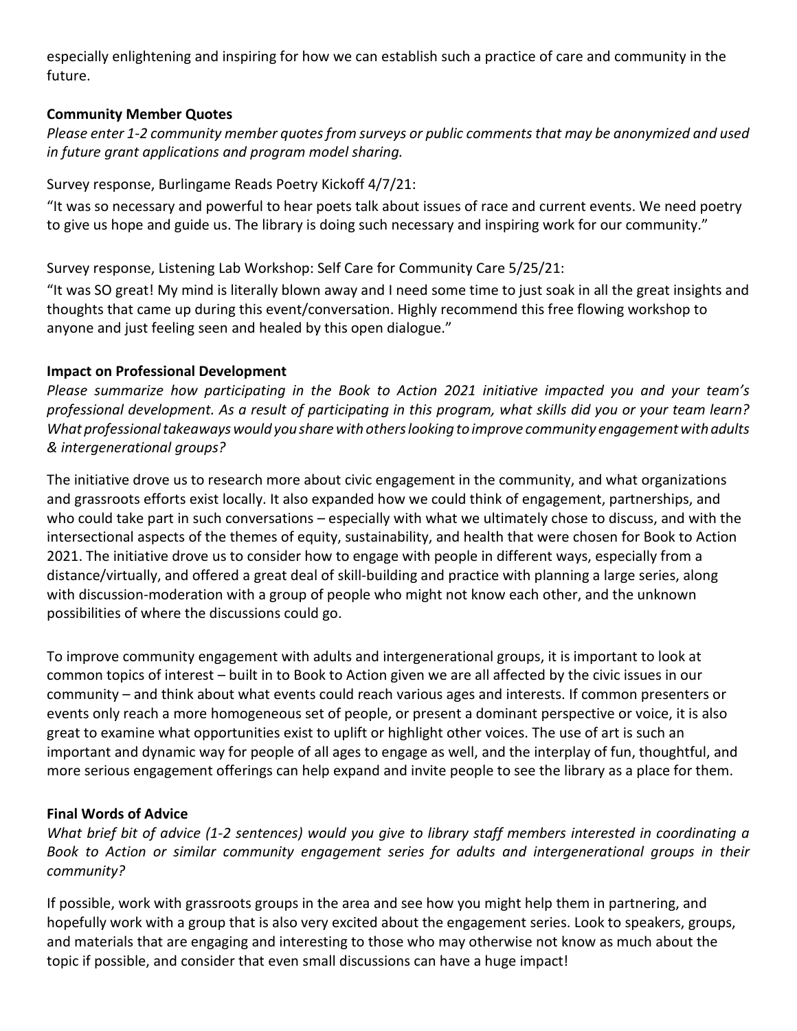especially enlightening and inspiring for how we can establish such a practice of care and community in the future.

# **Community Member Quotes**

*Please enter 1-2 community member quotes from surveys or public comments that may be anonymized and used in future grant applications and program model sharing.* 

# Survey response, Burlingame Reads Poetry Kickoff 4/7/21:

 "It was so necessary and powerful to hear poets talk about issues of race and current events. We need poetry to give us hope and guide us. The library is doing such necessary and inspiring work for our community."

Survey response, Listening Lab Workshop: Self Care for Community Care 5/25/21:

 "It was SO great! My mind is literally blown away and I need some time to just soak in all the great insights and thoughts that came up during this event/conversation. Highly recommend this free flowing workshop to anyone and just feeling seen and healed by this open dialogue."

# **Impact on Professional Development**

 *What professional takeaways would you share with others looking to improve community engagement with adults & intergenerational groups? Please summarize how participating in the Book to Action 2021 initiative impacted you and your team's professional development. As a result of participating in this program, what skills did you or your team learn?* 

 who could take part in such conversations – especially with what we ultimately chose to discuss, and with the intersectional aspects of the themes of equity, sustainability, and health that were chosen for Book to Action 2021. The initiative drove us to consider how to engage with people in different ways, especially from a The initiative drove us to research more about civic engagement in the community, and what organizations and grassroots efforts exist locally. It also expanded how we could think of engagement, partnerships, and distance/virtually, and offered a great deal of skill-building and practice with planning a large series, along with discussion-moderation with a group of people who might not know each other, and the unknown possibilities of where the discussions could go.

 events only reach a more homogeneous set of people, or present a dominant perspective or voice, it is also important and dynamic way for people of all ages to engage as well, and the interplay of fun, thoughtful, and more serious engagement offerings can help expand and invite people to see the library as a place for them. To improve community engagement with adults and intergenerational groups, it is important to look at common topics of interest – built in to Book to Action given we are all affected by the civic issues in our community – and think about what events could reach various ages and interests. If common presenters or great to examine what opportunities exist to uplift or highlight other voices. The use of art is such an

# **Final Words of Advice**

*What brief bit of advice (1-2 sentences) would you give to library staff members interested in coordinating a Book to Action or similar community engagement series for adults and intergenerational groups in their community?* 

 If possible, work with grassroots groups in the area and see how you might help them in partnering, and and materials that are engaging and interesting to those who may otherwise not know as much about the hopefully work with a group that is also very excited about the engagement series. Look to speakers, groups, topic if possible, and consider that even small discussions can have a huge impact!